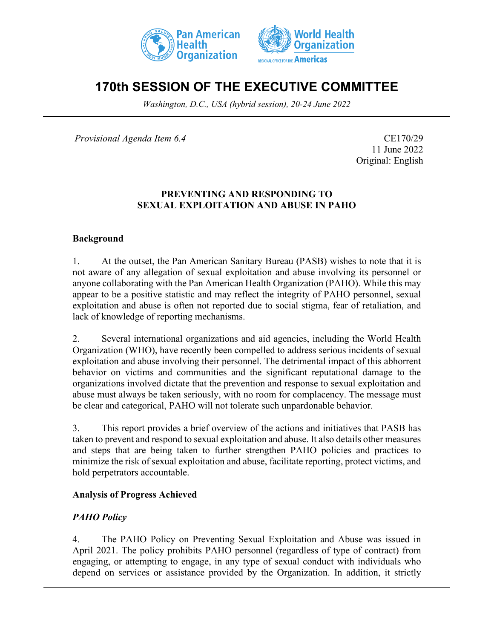



# **170th SESSION OF THE EXECUTIVE COMMITTEE**

*Washington, D.C., USA (hybrid session), 20-24 June 2022*

*Provisional Agenda Item 6.4* CE170/29

11 June 2022 Original: English

#### **PREVENTING AND RESPONDING TO SEXUAL EXPLOITATION AND ABUSE IN PAHO**

#### **Background**

1. At the outset, the Pan American Sanitary Bureau (PASB) wishes to note that it is not aware of any allegation of sexual exploitation and abuse involving its personnel or anyone collaborating with the Pan American Health Organization (PAHO). While this may appear to be a positive statistic and may reflect the integrity of PAHO personnel, sexual exploitation and abuse is often not reported due to social stigma, fear of retaliation, and lack of knowledge of reporting mechanisms.

2. Several international organizations and aid agencies, including the World Health Organization (WHO), have recently been compelled to address serious incidents of sexual exploitation and abuse involving their personnel. The detrimental impact of this abhorrent behavior on victims and communities and the significant reputational damage to the organizations involved dictate that the prevention and response to sexual exploitation and abuse must always be taken seriously, with no room for complacency. The message must be clear and categorical, PAHO will not tolerate such unpardonable behavior.

3. This report provides a brief overview of the actions and initiatives that PASB has taken to prevent and respond to sexual exploitation and abuse. It also details other measures and steps that are being taken to further strengthen PAHO policies and practices to minimize the risk of sexual exploitation and abuse, facilitate reporting, protect victims, and hold perpetrators accountable.

#### **Analysis of Progress Achieved**

### *PAHO Policy*

4. The PAHO Policy on Preventing Sexual Exploitation and Abuse was issued in April 2021. The policy prohibits PAHO personnel (regardless of type of contract) from engaging, or attempting to engage, in any type of sexual conduct with individuals who depend on services or assistance provided by the Organization. In addition, it strictly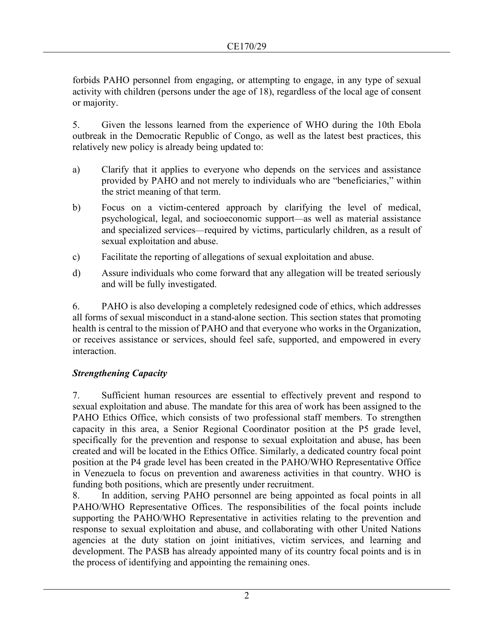forbids PAHO personnel from engaging, or attempting to engage, in any type of sexual activity with children (persons under the age of 18), regardless of the local age of consent or majority.

5. Given the lessons learned from the experience of WHO during the 10th Ebola outbreak in the Democratic Republic of Congo, as well as the latest best practices, this relatively new policy is already being updated to:

- a) Clarify that it applies to everyone who depends on the services and assistance provided by PAHO and not merely to individuals who are "beneficiaries," within the strict meaning of that term.
- b) Focus on a victim-centered approach by clarifying the level of medical, psychological, legal, and socioeconomic support—as well as material assistance and specialized services—required by victims, particularly children, as a result of sexual exploitation and abuse.
- c) Facilitate the reporting of allegations of sexual exploitation and abuse.
- d) Assure individuals who come forward that any allegation will be treated seriously and will be fully investigated.

6. PAHO is also developing a completely redesigned code of ethics, which addresses all forms of sexual misconduct in a stand-alone section. This section states that promoting health is central to the mission of PAHO and that everyone who works in the Organization, or receives assistance or services, should feel safe, supported, and empowered in every interaction.

### *Strengthening Capacity*

7. Sufficient human resources are essential to effectively prevent and respond to sexual exploitation and abuse. The mandate for this area of work has been assigned to the PAHO Ethics Office, which consists of two professional staff members. To strengthen capacity in this area, a Senior Regional Coordinator position at the P5 grade level, specifically for the prevention and response to sexual exploitation and abuse, has been created and will be located in the Ethics Office. Similarly, a dedicated country focal point position at the P4 grade level has been created in the PAHO/WHO Representative Office in Venezuela to focus on prevention and awareness activities in that country. WHO is funding both positions, which are presently under recruitment.

8. In addition, serving PAHO personnel are being appointed as focal points in all PAHO/WHO Representative Offices. The responsibilities of the focal points include supporting the PAHO/WHO Representative in activities relating to the prevention and response to sexual exploitation and abuse, and collaborating with other United Nations agencies at the duty station on joint initiatives, victim services, and learning and development. The PASB has already appointed many of its country focal points and is in the process of identifying and appointing the remaining ones.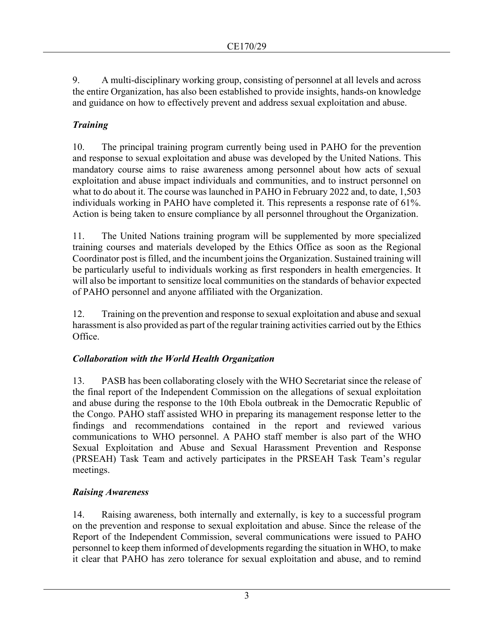9. A multi-disciplinary working group, consisting of personnel at all levels and across the entire Organization, has also been established to provide insights, hands-on knowledge and guidance on how to effectively prevent and address sexual exploitation and abuse.

# *Training*

10. The principal training program currently being used in PAHO for the prevention and response to sexual exploitation and abuse was developed by the United Nations. This mandatory course aims to raise awareness among personnel about how acts of sexual exploitation and abuse impact individuals and communities, and to instruct personnel on what to do about it. The course was launched in PAHO in February 2022 and, to date, 1,503 individuals working in PAHO have completed it. This represents a response rate of 61%. Action is being taken to ensure compliance by all personnel throughout the Organization.

11. The United Nations training program will be supplemented by more specialized training courses and materials developed by the Ethics Office as soon as the Regional Coordinator post is filled, and the incumbent joins the Organization. Sustained training will be particularly useful to individuals working as first responders in health emergencies. It will also be important to sensitize local communities on the standards of behavior expected of PAHO personnel and anyone affiliated with the Organization.

12. Training on the prevention and response to sexual exploitation and abuse and sexual harassment is also provided as part of the regular training activities carried out by the Ethics Office.

# *Collaboration with the World Health Organization*

13. PASB has been collaborating closely with the WHO Secretariat since the release of the final report of the Independent Commission on the allegations of sexual exploitation and abuse during the response to the 10th Ebola outbreak in the Democratic Republic of the Congo. PAHO staff assisted WHO in preparing its management response letter to the findings and recommendations contained in the report and reviewed various communications to WHO personnel. A PAHO staff member is also part of the WHO Sexual Exploitation and Abuse and Sexual Harassment Prevention and Response (PRSEAH) Task Team and actively participates in the PRSEAH Task Team's regular meetings.

# *Raising Awareness*

14. Raising awareness, both internally and externally, is key to a successful program on the prevention and response to sexual exploitation and abuse. Since the release of the Report of the Independent Commission, several communications were issued to PAHO personnel to keep them informed of developments regarding the situation in WHO, to make it clear that PAHO has zero tolerance for sexual exploitation and abuse, and to remind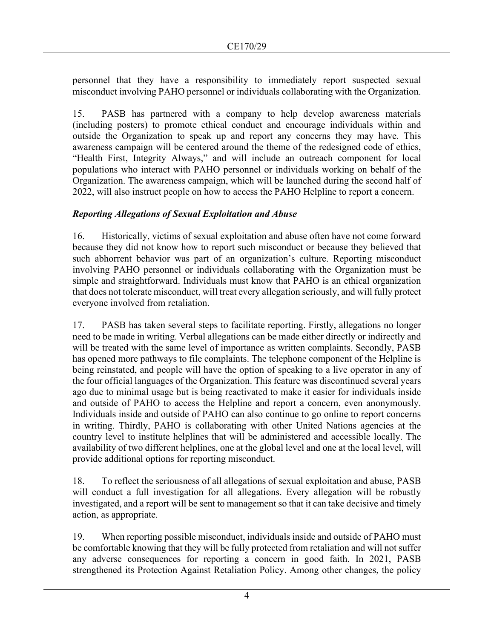personnel that they have a responsibility to immediately report suspected sexual misconduct involving PAHO personnel or individuals collaborating with the Organization.

15. PASB has partnered with a company to help develop awareness materials (including posters) to promote ethical conduct and encourage individuals within and outside the Organization to speak up and report any concerns they may have. This awareness campaign will be centered around the theme of the redesigned code of ethics, "Health First, Integrity Always," and will include an outreach component for local populations who interact with PAHO personnel or individuals working on behalf of the Organization. The awareness campaign, which will be launched during the second half of 2022, will also instruct people on how to access the PAHO Helpline to report a concern.

### *Reporting Allegations of Sexual Exploitation and Abuse*

16. Historically, victims of sexual exploitation and abuse often have not come forward because they did not know how to report such misconduct or because they believed that such abhorrent behavior was part of an organization's culture. Reporting misconduct involving PAHO personnel or individuals collaborating with the Organization must be simple and straightforward. Individuals must know that PAHO is an ethical organization that does not tolerate misconduct, will treat every allegation seriously, and will fully protect everyone involved from retaliation.

17. PASB has taken several steps to facilitate reporting. Firstly, allegations no longer need to be made in writing. Verbal allegations can be made either directly or indirectly and will be treated with the same level of importance as written complaints. Secondly, PASB has opened more pathways to file complaints. The telephone component of the Helpline is being reinstated, and people will have the option of speaking to a live operator in any of the four official languages of the Organization. This feature was discontinued several years ago due to minimal usage but is being reactivated to make it easier for individuals inside and outside of PAHO to access the Helpline and report a concern, even anonymously. Individuals inside and outside of PAHO can also continue to go online to report concerns in writing. Thirdly, PAHO is collaborating with other United Nations agencies at the country level to institute helplines that will be administered and accessible locally. The availability of two different helplines, one at the global level and one at the local level, will provide additional options for reporting misconduct.

18. To reflect the seriousness of all allegations of sexual exploitation and abuse, PASB will conduct a full investigation for all allegations. Every allegation will be robustly investigated, and a report will be sent to management so that it can take decisive and timely action, as appropriate.

19. When reporting possible misconduct, individuals inside and outside of PAHO must be comfortable knowing that they will be fully protected from retaliation and will not suffer any adverse consequences for reporting a concern in good faith. In 2021, PASB strengthened its Protection Against Retaliation Policy. Among other changes, the policy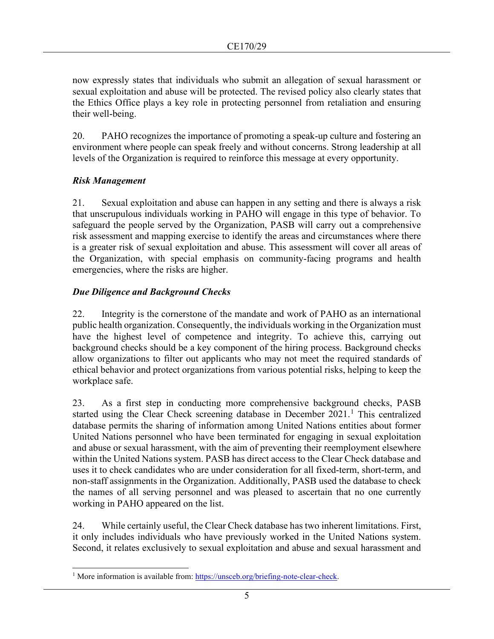now expressly states that individuals who submit an allegation of sexual harassment or sexual exploitation and abuse will be protected. The revised policy also clearly states that the Ethics Office plays a key role in protecting personnel from retaliation and ensuring their well-being.

20. PAHO recognizes the importance of promoting a speak-up culture and fostering an environment where people can speak freely and without concerns. Strong leadership at all levels of the Organization is required to reinforce this message at every opportunity.

### *Risk Management*

21. Sexual exploitation and abuse can happen in any setting and there is always a risk that unscrupulous individuals working in PAHO will engage in this type of behavior. To safeguard the people served by the Organization, PASB will carry out a comprehensive risk assessment and mapping exercise to identify the areas and circumstances where there is a greater risk of sexual exploitation and abuse. This assessment will cover all areas of the Organization, with special emphasis on community-facing programs and health emergencies, where the risks are higher.

### *Due Diligence and Background Checks*

22. Integrity is the cornerstone of the mandate and work of PAHO as an international public health organization. Consequently, the individuals working in the Organization must have the highest level of competence and integrity. To achieve this, carrying out background checks should be a key component of the hiring process. Background checks allow organizations to filter out applicants who may not meet the required standards of ethical behavior and protect organizations from various potential risks, helping to keep the workplace safe.

23. As a first step in conducting more comprehensive background checks, PASB started using the Clear Check screening database in December  $2021$  $2021$ .<sup>1</sup> This centralized database permits the sharing of information among United Nations entities about former United Nations personnel who have been terminated for engaging in sexual exploitation and abuse or sexual harassment, with the aim of preventing their reemployment elsewhere within the United Nations system. PASB has direct access to the Clear Check database and uses it to check candidates who are under consideration for all fixed-term, short-term, and non-staff assignments in the Organization. Additionally, PASB used the database to check the names of all serving personnel and was pleased to ascertain that no one currently working in PAHO appeared on the list.

24. While certainly useful, the Clear Check database has two inherent limitations. First, it only includes individuals who have previously worked in the United Nations system. Second, it relates exclusively to sexual exploitation and abuse and sexual harassment and

<span id="page-4-0"></span><sup>&</sup>lt;sup>1</sup> More information is available from: [https://unsceb.org/briefing-note-clear-check.](https://unsceb.org/briefing-note-clear-check)